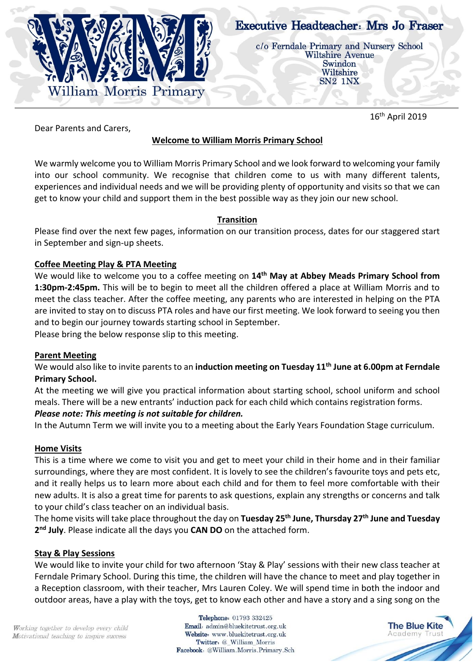

# **Executive Headteacher: Mrs Jo Fraser**

c/o Ferndale Primary and Nursery School **Wiltshire Avenue** Swindon Wiltshire SN<sub>2</sub> 1N<sub>X</sub>

16<sup>th</sup> April 2019

Dear Parents and Carers,

## **Welcome to William Morris Primary School**

We warmly welcome you to William Morris Primary School and we look forward to welcoming your family into our school community. We recognise that children come to us with many different talents, experiences and individual needs and we will be providing plenty of opportunity and visits so that we can get to know your child and support them in the best possible way as they join our new school.

## **Transition**

Please find over the next few pages, information on our transition process, dates for our staggered start in September and sign-up sheets.

## **Coffee Meeting Play & PTA Meeting**

We would like to welcome you to a coffee meeting on **14th May at Abbey Meads Primary School from 1:30pm-2:45pm.** This will be to begin to meet all the children offered a place at William Morris and to meet the class teacher. After the coffee meeting, any parents who are interested in helping on the PTA are invited to stay on to discuss PTA roles and have our first meeting. We look forward to seeing you then and to begin our journey towards starting school in September.

Please bring the below response slip to this meeting.

#### **Parent Meeting**

We would also like to invite parents to an **induction meeting on Tuesday 11th June at 6.00pm at Ferndale Primary School.**

At the meeting we will give you practical information about starting school, school uniform and school meals. There will be a new entrants' induction pack for each child which contains registration forms.

## *Please note: This meeting is not suitable for children.*

In the Autumn Term we will invite you to a meeting about the Early Years Foundation Stage curriculum.

## **Home Visits**

This is a time where we come to visit you and get to meet your child in their home and in their familiar surroundings, where they are most confident. It is lovely to see the children's favourite toys and pets etc, and it really helps us to learn more about each child and for them to feel more comfortable with their new adults. It is also a great time for parents to ask questions, explain any strengths or concerns and talk to your child's class teacher on an individual basis.

The home visits will take place throughout the day on **Tuesday 25th June, Thursday 27th June and Tuesday 2 nd July**. Please indicate all the days you **CAN DO** on the attached form.

#### **Stay & Play Sessions**

We would like to invite your child for two afternoon 'Stay & Play' sessions with their new class teacher at Ferndale Primary School. During this time, the children will have the chance to meet and play together in a Reception classroom, with their teacher, Mrs Lauren Coley. We will spend time in both the indoor and outdoor areas, have a play with the toys, get to know each other and have a story and a sing song on the

Working together to develop every child Motivational teaching to inspire success

Telephone: 01793 332425 Email: admin@bluekitetrust.org.uk Website: www.bluekitetrust.org.uk Twitter: @ William Morris Facebook: @William.Morris.Primary.Sch

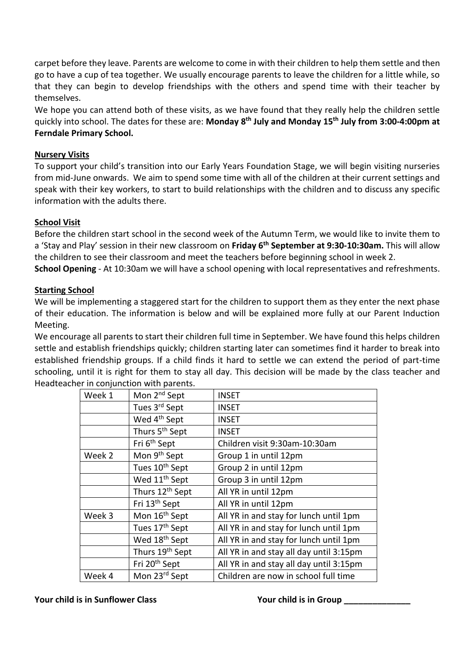carpet before they leave. Parents are welcome to come in with their children to help them settle and then go to have a cup of tea together. We usually encourage parents to leave the children for a little while, so that they can begin to develop friendships with the others and spend time with their teacher by themselves.

We hope you can attend both of these visits, as we have found that they really help the children settle quickly into school. The dates for these are: **Monday 8th July and Monday 15th July from 3:00-4:00pm at Ferndale Primary School.**

#### **Nursery Visits**

To support your child's transition into our Early Years Foundation Stage, we will begin visiting nurseries from mid-June onwards. We aim to spend some time with all of the children at their current settings and speak with their key workers, to start to build relationships with the children and to discuss any specific information with the adults there.

## **School Visit**

Before the children start school in the second week of the Autumn Term, we would like to invite them to a 'Stay and Play' session in their new classroom on **Friday 6th September at 9:30-10:30am.** This will allow the children to see their classroom and meet the teachers before beginning school in week 2.

**School Opening** - At 10:30am we will have a school opening with local representatives and refreshments.

#### **Starting School**

We will be implementing a staggered start for the children to support them as they enter the next phase of their education. The information is below and will be explained more fully at our Parent Induction Meeting.

We encourage all parents to start their children full time in September. We have found this helps children settle and establish friendships quickly; children starting later can sometimes find it harder to break into established friendship groups. If a child finds it hard to settle we can extend the period of part-time schooling, until it is right for them to stay all day. This decision will be made by the class teacher and Headteacher in conjunction with parents.

| Mon 2 <sup>nd</sup> Sept    | <b>INSET</b>                            |
|-----------------------------|-----------------------------------------|
| Tues 3 <sup>rd</sup> Sept   | <b>INSET</b>                            |
| Wed 4 <sup>th</sup> Sept    | <b>INSET</b>                            |
| Thurs 5 <sup>th</sup> Sept  | <b>INSET</b>                            |
| Fri 6 <sup>th</sup> Sept    | Children visit 9:30am-10:30am           |
| Mon 9 <sup>th</sup> Sept    | Group 1 in until 12pm                   |
| Tues 10 <sup>th</sup> Sept  | Group 2 in until 12pm                   |
| Wed 11 <sup>th</sup> Sept   | Group 3 in until 12pm                   |
| Thurs 12 <sup>th</sup> Sept | All YR in until 12pm                    |
| Fri 13th Sept               | All YR in until 12pm                    |
| Mon 16 <sup>th</sup> Sept   | All YR in and stay for lunch until 1pm  |
| Tues 17th Sept              | All YR in and stay for lunch until 1pm  |
| Wed 18 <sup>th</sup> Sept   | All YR in and stay for lunch until 1pm  |
| Thurs 19th Sept             | All YR in and stay all day until 3:15pm |
| Fri 20 <sup>th</sup> Sept   | All YR in and stay all day until 3:15pm |
| Mon 23rd Sept               | Children are now in school full time    |
|                             |                                         |

**Your child is in Sunflower Class Your child is in Group Theory Class Assumes A Vour child is in Group Theory Class**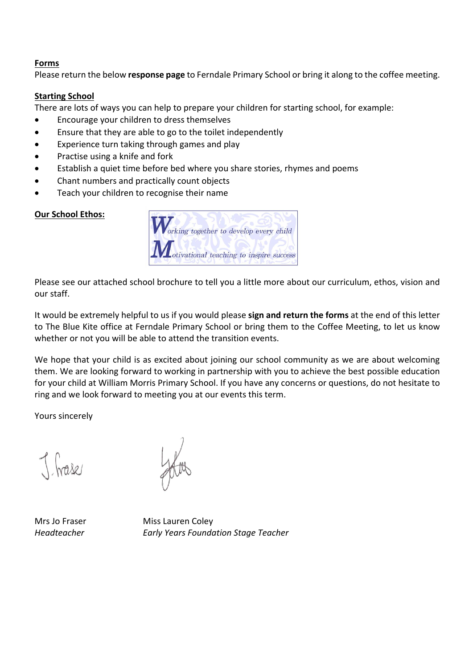#### **Forms**

Please return the below **response page** to Ferndale Primary School or bring it along to the coffee meeting.

#### **Starting School**

There are lots of ways you can help to prepare your children for starting school, for example:

- Encourage your children to dress themselves
- Ensure that they are able to go to the toilet independently
- Experience turn taking through games and play
- Practise using a knife and fork
- Establish a quiet time before bed where you share stories, rhymes and poems
- Chant numbers and practically count objects
- Teach your children to recognise their name

#### **Our School Ethos:**

| Working together to develop every child  |
|------------------------------------------|
| Motivational teaching to inspire success |

Please see our attached school brochure to tell you a little more about our curriculum, ethos, vision and our staff.

It would be extremely helpful to us if you would please **sign and return the forms** at the end of this letter to The Blue Kite office at Ferndale Primary School or bring them to the Coffee Meeting, to let us know whether or not you will be able to attend the transition events.

We hope that your child is as excited about joining our school community as we are about welcoming them. We are looking forward to working in partnership with you to achieve the best possible education for your child at William Morris Primary School. If you have any concerns or questions, do not hesitate to ring and we look forward to meeting you at our events this term.

Yours sincerely

J. frase

Mrs Jo Fraser Miss Lauren Coley *Headteacher Early Years Foundation Stage Teacher*